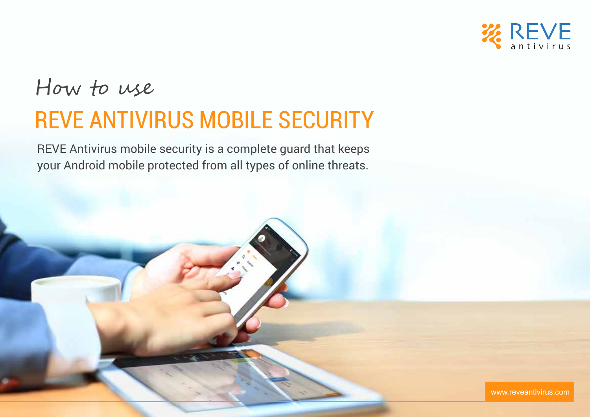

# How to use REVE ANTIVIRUS MOBILE SECURITY

REVE Antivirus mobile security is a complete guard that keeps your Android mobile protected from all types of online threats.

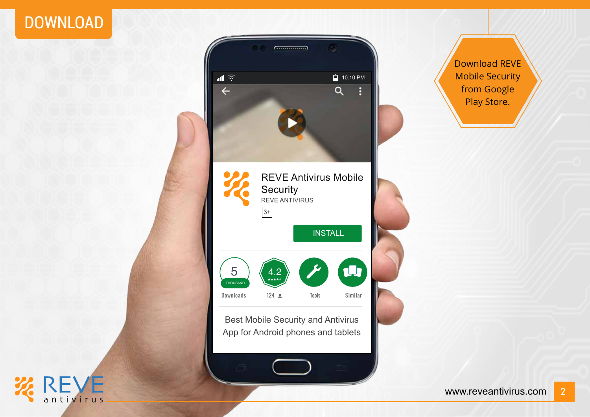#### DOWNLOAD



Download REVE Mobile Security from Google Play Store.



**INLYL**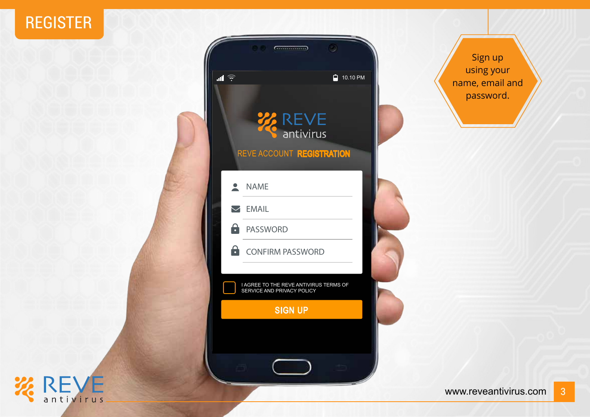#### REGISTER

#### $G$  and  $G$  and  $G$  and  $G$  and  $G$  and  $G$  and  $G$  and  $G$  and  $G$  and  $G$  and  $G$  and  $G$  and  $G$  and  $G$  and  $G$  and  $G$  and  $G$  and  $G$  and  $G$  and  $G$  and  $G$  and  $G$  and  $G$  and  $G$  and  $G$  and  $G$  and  $G$  and  $G$  a ۵  $10.10$  PM  $\blacksquare$ **WEVE** antivirus REVE ACCOUNT **REGISTRATION**  $\overline{\phantom{a}}$ NAME **EMAIL**  $\mathbf{a}$ PASSWORD  $\mathbf{a}$ CONFIRM PASSWORD I AGREE TO THE REVE ANTIVIRUS TERMS OF SERVICE AND PRIVACY POLICY SIGN UP

Sign up using your name, email and password.

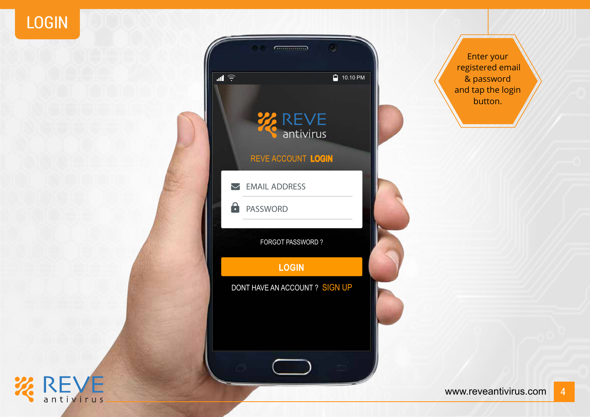LOGIN



Enter your registered email & password and tap the login button.

**ZEVE**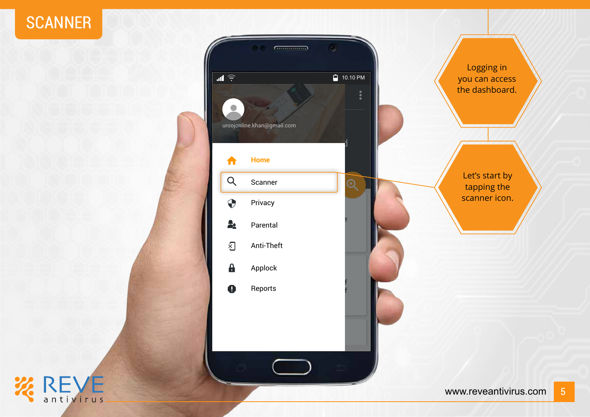#### **SCANNER**



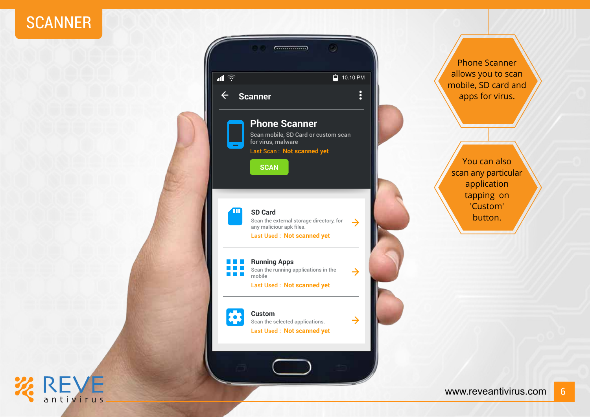#### **SCANNER**

**REVE** 



Phone Scanner allows you to scan mobile, SD card and apps for virus.

You can also scan any particular application tapping on 'Custom' button.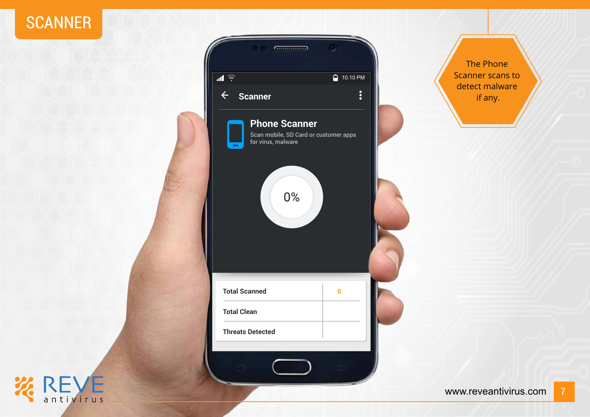

**ZEVE** 



The Phone Scanner scans to detect malware if any.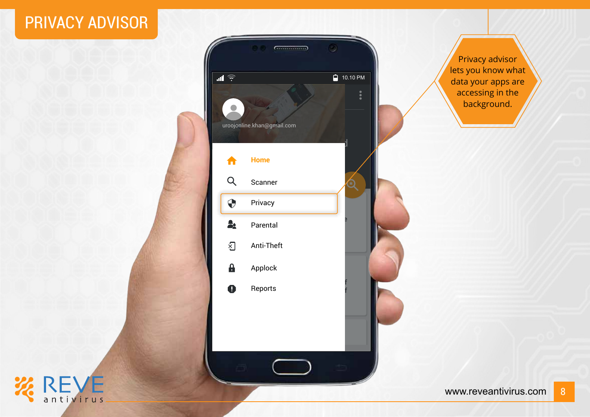#### PRIVACY ADVISOR



Privacy advisor lets you know what data your apps are accessing in the background.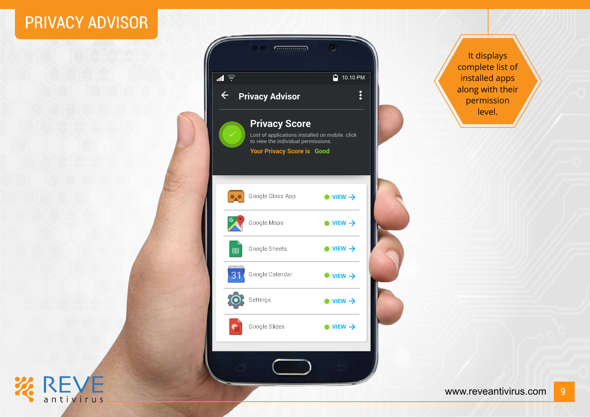#### PRIVACY ADVISOR

REVE<sub>antivirus</sub>



It displays complete list of installed apps along with their permission level.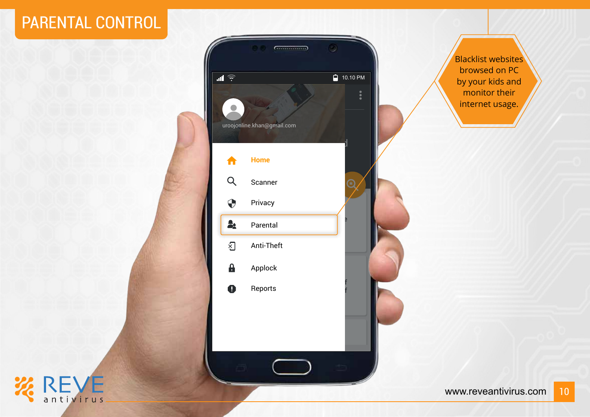#### PARENTAL CONTROL



Blacklist websites browsed on PC by your kids and monitor their internet usage.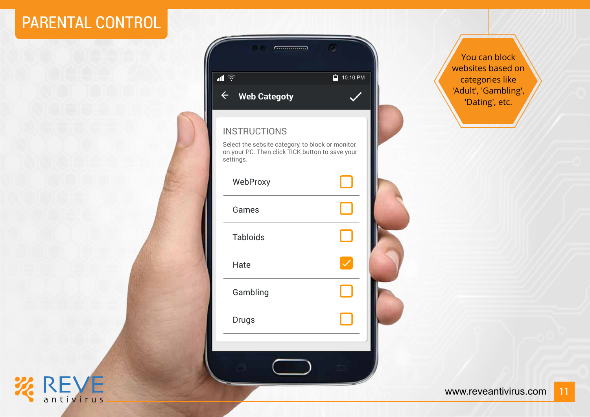### PARENTAL CONTROL

**KREVE** 

| <b>Communication</b>                                                                                                                     |                           |  |  |
|------------------------------------------------------------------------------------------------------------------------------------------|---------------------------|--|--|
| $\blacksquare$                                                                                                                           | ≏<br>10.10 P <sub>M</sub> |  |  |
| $\overline{\leftarrow}$<br><b>Web Categoty</b>                                                                                           |                           |  |  |
| <b>INSTRUCTIONS</b><br>Select the sebsite category, to block or monitor,<br>on your PC. Then click TICK button to save your<br>settings. |                           |  |  |
| WebProxy                                                                                                                                 |                           |  |  |
| Games                                                                                                                                    |                           |  |  |
| <b>Tabloids</b>                                                                                                                          |                           |  |  |
| Hate                                                                                                                                     |                           |  |  |
| Gambling                                                                                                                                 |                           |  |  |
| <b>Drugs</b>                                                                                                                             |                           |  |  |
|                                                                                                                                          |                           |  |  |
|                                                                                                                                          |                           |  |  |
|                                                                                                                                          |                           |  |  |

You can block websites based on categories like 'Adult', 'Gambling', 'Dating', etc.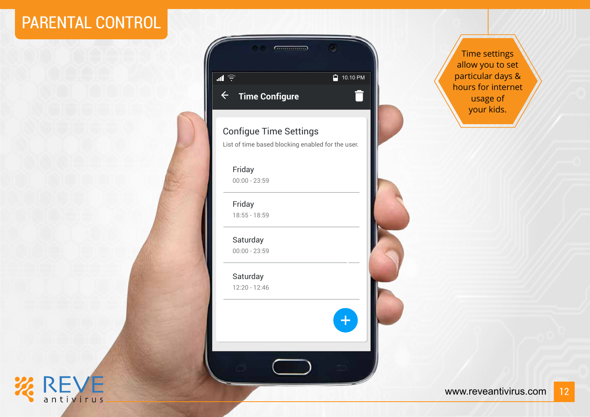#### PARENTAL CONTROL





#### Configue Time Settings List of time based blocking enabled for the user.

 $+$ 

Friday 00:00 - 23:59

Friday 18:55 - 18:59

Saturday 00:00 - 23:59

Saturday 12:20 - 12:46

Time settings allow you to set particular days & hours for internet usage of your kids.

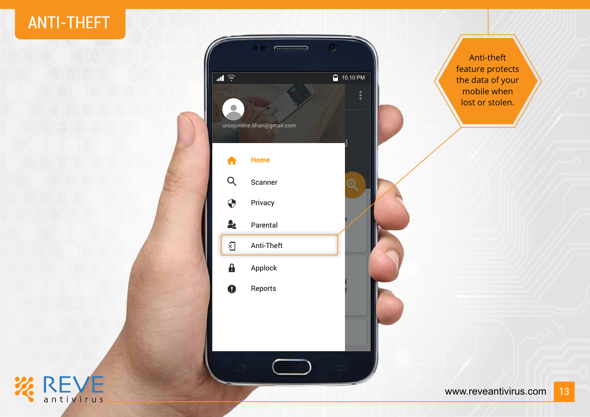#### ANTI-THEFT

**ZEVE** 



Anti-theft feature protects the data of your mobile when lost or stolen.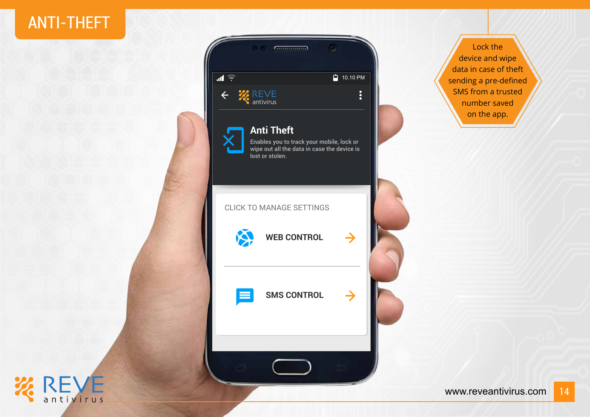#### ANTI-THEFT



Lock the device and wipe data in case of theft sending a pre-defined SMS from a trusted number saved on the app.

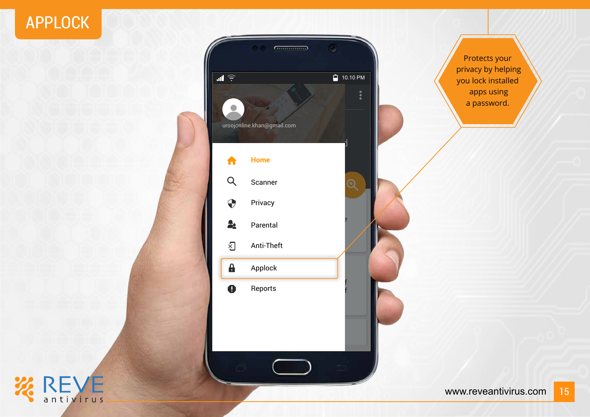#### APPLOCK

**ZEVE** 



Protects your privacy by helping you lock installed apps using a password.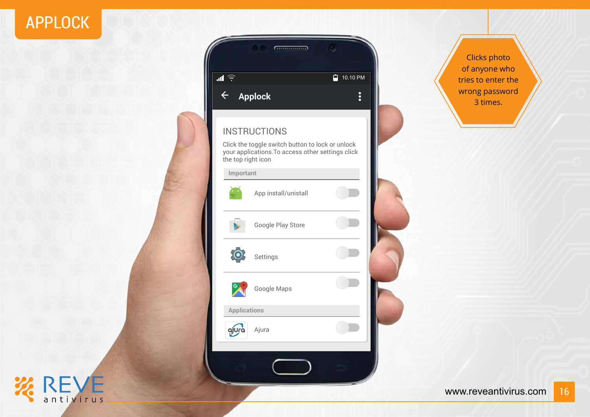### APPLOCK



| $\blacksquare$      |                                                                                                       | Ĥ<br>10.10 PM  |  |
|---------------------|-------------------------------------------------------------------------------------------------------|----------------|--|
| $\leftarrow$        | <b>Applock</b>                                                                                        | $\ddot{\cdot}$ |  |
|                     | <b>INSTRUCTIONS</b>                                                                                   |                |  |
| the top right icon  | Click the toggle switch button to lock or unlock<br>your applications. To access other settings click |                |  |
| Important           |                                                                                                       |                |  |
|                     | App install/unistall                                                                                  |                |  |
|                     | Google Play Store                                                                                     |                |  |
|                     | Settings                                                                                              |                |  |
|                     | Google Maps                                                                                           |                |  |
| <b>Applications</b> |                                                                                                       |                |  |
| ojura               | Ajura                                                                                                 |                |  |

Clicks photo of anyone who tries to enter the wrong password 3 times.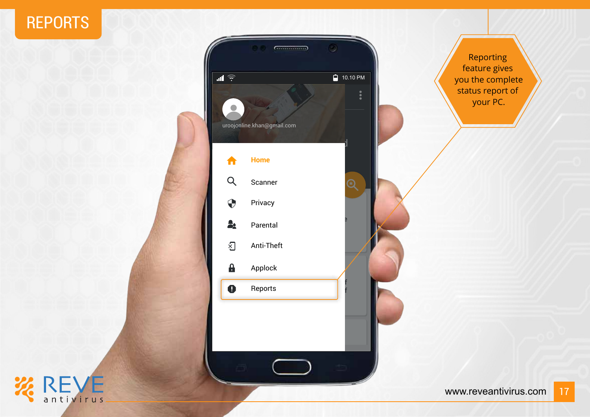#### REPORTS



Reporting feature gives you the complete status report of your PC.

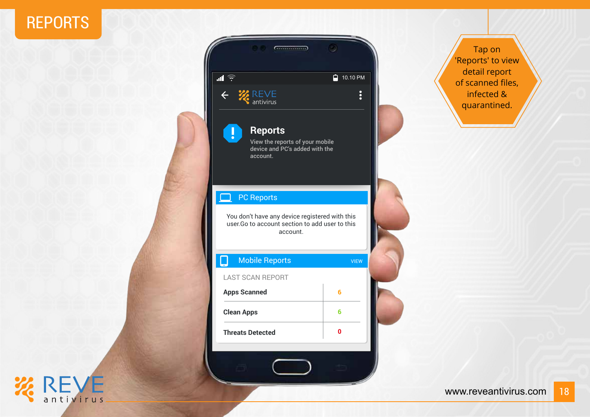#### REPORTS

**ZEVE** 



| <b>Mobile Reports</b>   | <b>VIEW</b> |  |
|-------------------------|-------------|--|
| <b>LAST SCAN REPORT</b> |             |  |
| <b>Apps Scanned</b>     | ĥ           |  |
| <b>Clean Apps</b>       | 6           |  |
| <b>Threats Detected</b> |             |  |
|                         |             |  |

Tap on 'Reports' to view detail report of scanned files, infected & quarantined.

You don't have any device registered with this user.Go to account section to add user to this

 $\ddot{\cdot}$